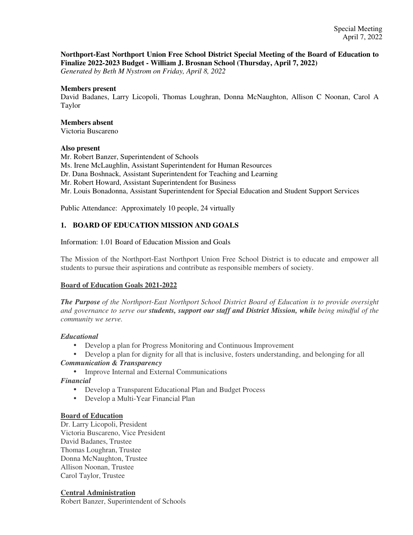#### **Northport-East Northport Union Free School District Special Meeting of the Board of Education to Finalize 2022-2023 Budget - William J. Brosnan School (Thursday, April 7, 2022)**

*Generated by Beth M Nystrom on Friday, April 8, 2022*

#### **Members present**

David Badanes, Larry Licopoli, Thomas Loughran, Donna McNaughton, Allison C Noonan, Carol A Taylor

#### **Members absent**

Victoria Buscareno

#### **Also present**

Mr. Robert Banzer, Superintendent of Schools Ms. Irene McLaughlin, Assistant Superintendent for Human Resources Dr. Dana Boshnack, Assistant Superintendent for Teaching and Learning Mr. Robert Howard, Assistant Superintendent for Business Mr. Louis Bonadonna, Assistant Superintendent for Special Education and Student Support Services

Public Attendance: Approximately 10 people, 24 virtually

### **1. BOARD OF EDUCATION MISSION AND GOALS**

Information: 1.01 Board of Education Mission and Goals

The Mission of the Northport-East Northport Union Free School District is to educate and empower all students to pursue their aspirations and contribute as responsible members of society.

#### **Board of Education Goals 2021-2022**

*The Purpose of the Northport-East Northport School District Board of Education is to provide oversight and governance to serve our students, support our staff and District Mission, while being mindful of the community we serve.*

#### *Educational*

- Develop a plan for Progress Monitoring and Continuous Improvement
- Develop a plan for dignity for all that is inclusive, fosters understanding, and belonging for all *Communication & Transparency*
	- Improve Internal and External Communications

*Financial*

- Develop a Transparent Educational Plan and Budget Process
- Develop a Multi-Year Financial Plan

#### **Board of Education**

Dr. Larry Licopoli, President Victoria Buscareno, Vice President David Badanes, Trustee Thomas Loughran, Trustee Donna McNaughton, Trustee Allison Noonan, Trustee Carol Taylor, Trustee

#### **Central Administration**

Robert Banzer, Superintendent of Schools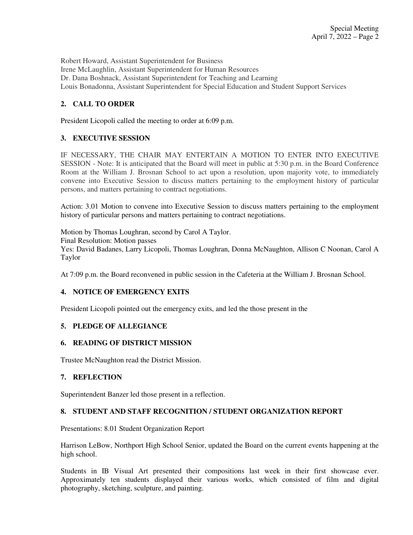Robert Howard, Assistant Superintendent for Business Irene McLaughlin, Assistant Superintendent for Human Resources Dr. Dana Boshnack, Assistant Superintendent for Teaching and Learning Louis Bonadonna, Assistant Superintendent for Special Education and Student Support Services

### **2. CALL TO ORDER**

President Licopoli called the meeting to order at 6:09 p.m.

#### **3. EXECUTIVE SESSION**

IF NECESSARY, THE CHAIR MAY ENTERTAIN A MOTION TO ENTER INTO EXECUTIVE SESSION - Note: It is anticipated that the Board will meet in public at 5:30 p.m. in the Board Conference Room at the William J. Brosnan School to act upon a resolution, upon majority vote, to immediately convene into Executive Session to discuss matters pertaining to the employment history of particular persons, and matters pertaining to contract negotiations.

Action: 3.01 Motion to convene into Executive Session to discuss matters pertaining to the employment history of particular persons and matters pertaining to contract negotiations.

Motion by Thomas Loughran, second by Carol A Taylor. Final Resolution: Motion passes Yes: David Badanes, Larry Licopoli, Thomas Loughran, Donna McNaughton, Allison C Noonan, Carol A Taylor

At 7:09 p.m. the Board reconvened in public session in the Cafeteria at the William J. Brosnan School.

#### **4. NOTICE OF EMERGENCY EXITS**

President Licopoli pointed out the emergency exits, and led the those present in the

#### **5. PLEDGE OF ALLEGIANCE**

#### **6. READING OF DISTRICT MISSION**

Trustee McNaughton read the District Mission.

#### **7. REFLECTION**

Superintendent Banzer led those present in a reflection.

#### **8. STUDENT AND STAFF RECOGNITION / STUDENT ORGANIZATION REPORT**

Presentations: 8.01 Student Organization Report

Harrison LeBow, Northport High School Senior, updated the Board on the current events happening at the high school.

Students in IB Visual Art presented their compositions last week in their first showcase ever. Approximately ten students displayed their various works, which consisted of film and digital photography, sketching, sculpture, and painting.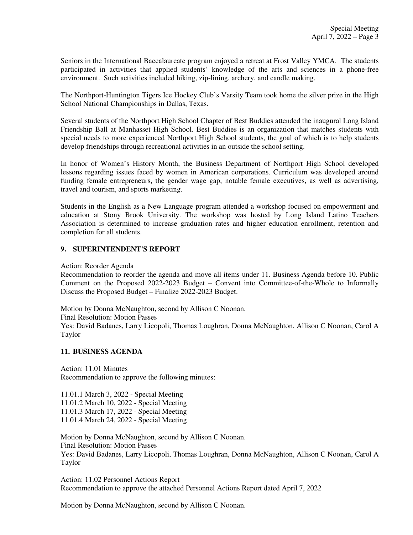Seniors in the International Baccalaureate program enjoyed a retreat at Frost Valley YMCA. The students participated in activities that applied students' knowledge of the arts and sciences in a phone-free environment. Such activities included hiking, zip-lining, archery, and candle making.

The Northport-Huntington Tigers Ice Hockey Club's Varsity Team took home the silver prize in the High School National Championships in Dallas, Texas.

Several students of the Northport High School Chapter of Best Buddies attended the inaugural Long Island Friendship Ball at Manhasset High School. Best Buddies is an organization that matches students with special needs to more experienced Northport High School students, the goal of which is to help students develop friendships through recreational activities in an outside the school setting.

In honor of Women's History Month, the Business Department of Northport High School developed lessons regarding issues faced by women in American corporations. Curriculum was developed around funding female entrepreneurs, the gender wage gap, notable female executives, as well as advertising, travel and tourism, and sports marketing.

Students in the English as a New Language program attended a workshop focused on empowerment and education at Stony Brook University. The workshop was hosted by Long Island Latino Teachers Association is determined to increase graduation rates and higher education enrollment, retention and completion for all students.

#### **9. SUPERINTENDENT'S REPORT**

Action: Reorder Agenda

Recommendation to reorder the agenda and move all items under 11. Business Agenda before 10. Public Comment on the Proposed 2022-2023 Budget – Convent into Committee-of-the-Whole to Informally Discuss the Proposed Budget – Finalize 2022-2023 Budget.

Motion by Donna McNaughton, second by Allison C Noonan. Final Resolution: Motion Passes Yes: David Badanes, Larry Licopoli, Thomas Loughran, Donna McNaughton, Allison C Noonan, Carol A Taylor

#### **11. BUSINESS AGENDA**

Action: 11.01 Minutes Recommendation to approve the following minutes:

11.01.1 March 3, 2022 - Special Meeting 11.01.2 March 10, 2022 - Special Meeting 11.01.3 March 17, 2022 - Special Meeting 11.01.4 March 24, 2022 - Special Meeting

Motion by Donna McNaughton, second by Allison C Noonan. Final Resolution: Motion Passes Yes: David Badanes, Larry Licopoli, Thomas Loughran, Donna McNaughton, Allison C Noonan, Carol A Taylor

Action: 11.02 Personnel Actions Report Recommendation to approve the attached Personnel Actions Report dated April 7, 2022

Motion by Donna McNaughton, second by Allison C Noonan.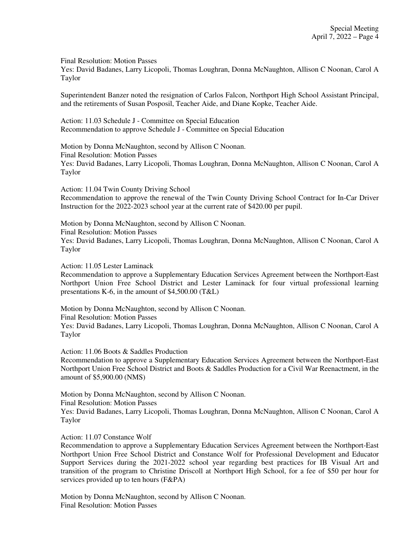Final Resolution: Motion Passes

Yes: David Badanes, Larry Licopoli, Thomas Loughran, Donna McNaughton, Allison C Noonan, Carol A Taylor

Superintendent Banzer noted the resignation of Carlos Falcon, Northport High School Assistant Principal, and the retirements of Susan Posposil, Teacher Aide, and Diane Kopke, Teacher Aide.

Action: 11.03 Schedule J - Committee on Special Education Recommendation to approve Schedule J - Committee on Special Education

Motion by Donna McNaughton, second by Allison C Noonan. Final Resolution: Motion Passes Yes: David Badanes, Larry Licopoli, Thomas Loughran, Donna McNaughton, Allison C Noonan, Carol A Taylor

Action: 11.04 Twin County Driving School Recommendation to approve the renewal of the Twin County Driving School Contract for In-Car Driver Instruction for the 2022-2023 school year at the current rate of \$420.00 per pupil.

Motion by Donna McNaughton, second by Allison C Noonan. Final Resolution: Motion Passes Yes: David Badanes, Larry Licopoli, Thomas Loughran, Donna McNaughton, Allison C Noonan, Carol A Taylor

Action: 11.05 Lester Laminack

Recommendation to approve a Supplementary Education Services Agreement between the Northport-East Northport Union Free School District and Lester Laminack for four virtual professional learning presentations K-6, in the amount of \$4,500.00 (T&L)

Motion by Donna McNaughton, second by Allison C Noonan. Final Resolution: Motion Passes Yes: David Badanes, Larry Licopoli, Thomas Loughran, Donna McNaughton, Allison C Noonan, Carol A Taylor

Action: 11.06 Boots & Saddles Production

Recommendation to approve a Supplementary Education Services Agreement between the Northport-East Northport Union Free School District and Boots & Saddles Production for a Civil War Reenactment, in the amount of \$5,900.00 (NMS)

Motion by Donna McNaughton, second by Allison C Noonan.

Final Resolution: Motion Passes

Yes: David Badanes, Larry Licopoli, Thomas Loughran, Donna McNaughton, Allison C Noonan, Carol A Taylor

Action: 11.07 Constance Wolf

Recommendation to approve a Supplementary Education Services Agreement between the Northport-East Northport Union Free School District and Constance Wolf for Professional Development and Educator Support Services during the 2021-2022 school year regarding best practices for IB Visual Art and transition of the program to Christine Driscoll at Northport High School, for a fee of \$50 per hour for services provided up to ten hours (F&PA)

Motion by Donna McNaughton, second by Allison C Noonan. Final Resolution: Motion Passes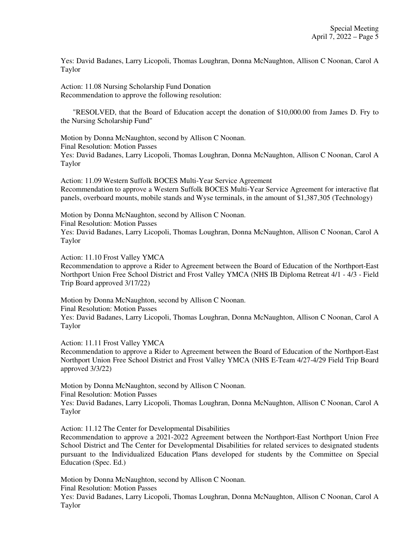Yes: David Badanes, Larry Licopoli, Thomas Loughran, Donna McNaughton, Allison C Noonan, Carol A Taylor

Action: 11.08 Nursing Scholarship Fund Donation Recommendation to approve the following resolution:

 "RESOLVED, that the Board of Education accept the donation of \$10,000.00 from James D. Fry to the Nursing Scholarship Fund"

Motion by Donna McNaughton, second by Allison C Noonan. Final Resolution: Motion Passes Yes: David Badanes, Larry Licopoli, Thomas Loughran, Donna McNaughton, Allison C Noonan, Carol A Taylor

Action: 11.09 Western Suffolk BOCES Multi-Year Service Agreement Recommendation to approve a Western Suffolk BOCES Multi-Year Service Agreement for interactive flat panels, overboard mounts, mobile stands and Wyse terminals, in the amount of \$1,387,305 (Technology)

Motion by Donna McNaughton, second by Allison C Noonan. Final Resolution: Motion Passes Yes: David Badanes, Larry Licopoli, Thomas Loughran, Donna McNaughton, Allison C Noonan, Carol A Taylor

Action: 11.10 Frost Valley YMCA

Recommendation to approve a Rider to Agreement between the Board of Education of the Northport-East Northport Union Free School District and Frost Valley YMCA (NHS IB Diploma Retreat 4/1 - 4/3 - Field Trip Board approved 3/17/22)

Motion by Donna McNaughton, second by Allison C Noonan. Final Resolution: Motion Passes Yes: David Badanes, Larry Licopoli, Thomas Loughran, Donna McNaughton, Allison C Noonan, Carol A Taylor

Action: 11.11 Frost Valley YMCA

Recommendation to approve a Rider to Agreement between the Board of Education of the Northport-East Northport Union Free School District and Frost Valley YMCA (NHS E-Team 4/27-4/29 Field Trip Board approved 3/3/22)

Motion by Donna McNaughton, second by Allison C Noonan.

Final Resolution: Motion Passes

Yes: David Badanes, Larry Licopoli, Thomas Loughran, Donna McNaughton, Allison C Noonan, Carol A Taylor

Action: 11.12 The Center for Developmental Disabilities

Recommendation to approve a 2021-2022 Agreement between the Northport-East Northport Union Free School District and The Center for Developmental Disabilities for related services to designated students pursuant to the Individualized Education Plans developed for students by the Committee on Special Education (Spec. Ed.)

Motion by Donna McNaughton, second by Allison C Noonan. Final Resolution: Motion Passes

Yes: David Badanes, Larry Licopoli, Thomas Loughran, Donna McNaughton, Allison C Noonan, Carol A Taylor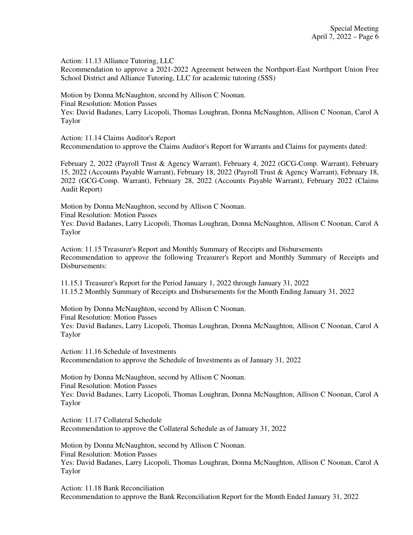Action: 11.13 Alliance Tutoring, LLC

Recommendation to approve a 2021-2022 Agreement between the Northport-East Northport Union Free School District and Alliance Tutoring, LLC for academic tutoring (SSS)

Motion by Donna McNaughton, second by Allison C Noonan. Final Resolution: Motion Passes Yes: David Badanes, Larry Licopoli, Thomas Loughran, Donna McNaughton, Allison C Noonan, Carol A Taylor

Action: 11.14 Claims Auditor's Report Recommendation to approve the Claims Auditor's Report for Warrants and Claims for payments dated:

February 2, 2022 (Payroll Trust & Agency Warrant), February 4, 2022 (GCG-Comp. Warrant), February 15, 2022 (Accounts Payable Warrant), February 18, 2022 (Payroll Trust & Agency Warrant), February 18, 2022 (GCG-Comp. Warrant), February 28, 2022 (Accounts Payable Warrant), February 2022 (Claims Audit Report)

Motion by Donna McNaughton, second by Allison C Noonan. Final Resolution: Motion Passes

Yes: David Badanes, Larry Licopoli, Thomas Loughran, Donna McNaughton, Allison C Noonan, Carol A Taylor

Action: 11.15 Treasurer's Report and Monthly Summary of Receipts and Disbursements Recommendation to approve the following Treasurer's Report and Monthly Summary of Receipts and Disbursements:

11.15.1 Treasurer's Report for the Period January 1, 2022 through January 31, 2022 11.15.2 Monthly Summary of Receipts and Disbursements for the Month Ending January 31, 2022

Motion by Donna McNaughton, second by Allison C Noonan. Final Resolution: Motion Passes Yes: David Badanes, Larry Licopoli, Thomas Loughran, Donna McNaughton, Allison C Noonan, Carol A Taylor

Action: 11.16 Schedule of Investments Recommendation to approve the Schedule of Investments as of January 31, 2022

Motion by Donna McNaughton, second by Allison C Noonan. Final Resolution: Motion Passes Yes: David Badanes, Larry Licopoli, Thomas Loughran, Donna McNaughton, Allison C Noonan, Carol A Taylor

Action: 11.17 Collateral Schedule Recommendation to approve the Collateral Schedule as of January 31, 2022

Motion by Donna McNaughton, second by Allison C Noonan. Final Resolution: Motion Passes Yes: David Badanes, Larry Licopoli, Thomas Loughran, Donna McNaughton, Allison C Noonan, Carol A Taylor

Action: 11.18 Bank Reconciliation Recommendation to approve the Bank Reconciliation Report for the Month Ended January 31, 2022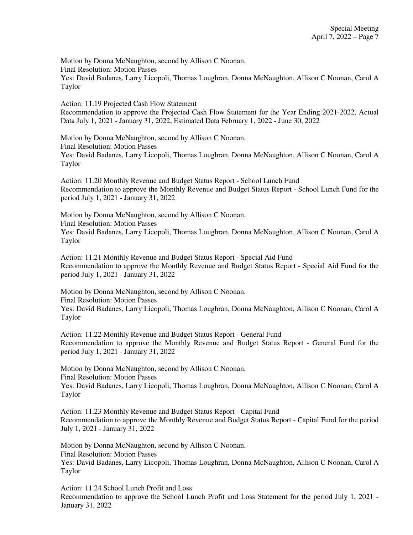Motion by Donna McNaughton, second by Allison C Noonan. Final Resolution: Motion Passes Yes: David Badanes, Larry Licopoli, Thomas Loughran, Donna McNaughton, Allison C Noonan, Carol A Taylor

Action: 11.19 Projected Cash Flow Statement Recommendation to approve the Projected Cash Flow Statement for the Year Ending 2021-2022, Actual Data July 1, 2021 - January 31, 2022, Estimated Data February 1, 2022 - June 30, 2022

Motion by Donna McNaughton, second by Allison C Noonan. Final Resolution: Motion Passes Yes: David Badanes, Larry Licopoli, Thomas Loughran, Donna McNaughton, Allison C Noonan, Carol A Taylor

Action: 11.20 Monthly Revenue and Budget Status Report - School Lunch Fund Recommendation to approve the Monthly Revenue and Budget Status Report - School Lunch Fund for the period July 1, 2021 - January 31, 2022

Motion by Donna McNaughton, second by Allison C Noonan. Final Resolution: Motion Passes Yes: David Badanes, Larry Licopoli, Thomas Loughran, Donna McNaughton, Allison C Noonan, Carol A Taylor

Action: 11.21 Monthly Revenue and Budget Status Report - Special Aid Fund Recommendation to approve the Monthly Revenue and Budget Status Report - Special Aid Fund for the period July 1, 2021 - January 31, 2022

Motion by Donna McNaughton, second by Allison C Noonan. Final Resolution: Motion Passes Yes: David Badanes, Larry Licopoli, Thomas Loughran, Donna McNaughton, Allison C Noonan, Carol A Taylor

Action: 11.22 Monthly Revenue and Budget Status Report - General Fund Recommendation to approve the Monthly Revenue and Budget Status Report - General Fund for the period July 1, 2021 - January 31, 2022

Motion by Donna McNaughton, second by Allison C Noonan. Final Resolution: Motion Passes Yes: David Badanes, Larry Licopoli, Thomas Loughran, Donna McNaughton, Allison C Noonan, Carol A Taylor

Action: 11.23 Monthly Revenue and Budget Status Report - Capital Fund Recommendation to approve the Monthly Revenue and Budget Status Report - Capital Fund for the period July 1, 2021 - January 31, 2022

Motion by Donna McNaughton, second by Allison C Noonan. Final Resolution: Motion Passes Yes: David Badanes, Larry Licopoli, Thomas Loughran, Donna McNaughton, Allison C Noonan, Carol A Taylor

Action: 11.24 School Lunch Profit and Loss Recommendation to approve the School Lunch Profit and Loss Statement for the period July 1, 2021 - January 31, 2022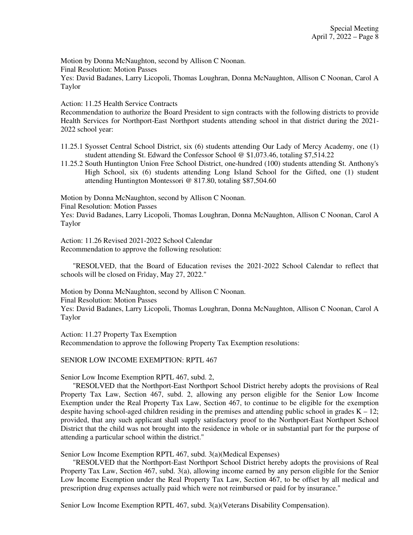Motion by Donna McNaughton, second by Allison C Noonan.

Final Resolution: Motion Passes

Yes: David Badanes, Larry Licopoli, Thomas Loughran, Donna McNaughton, Allison C Noonan, Carol A Taylor

Action: 11.25 Health Service Contracts

Recommendation to authorize the Board President to sign contracts with the following districts to provide Health Services for Northport-East Northport students attending school in that district during the 2021- 2022 school year:

11.25.1 Syosset Central School District, six (6) students attending Our Lady of Mercy Academy, one (1) student attending St. Edward the Confessor School @ \$1,073.46, totaling \$7,514.22

11.25.2 South Huntington Union Free School District, one-hundred (100) students attending St. Anthony's High School, six (6) students attending Long Island School for the Gifted, one (1) student attending Huntington Montessori @ 817.80, totaling \$87,504.60

Motion by Donna McNaughton, second by Allison C Noonan.

Final Resolution: Motion Passes

Yes: David Badanes, Larry Licopoli, Thomas Loughran, Donna McNaughton, Allison C Noonan, Carol A Taylor

Action: 11.26 Revised 2021-2022 School Calendar Recommendation to approve the following resolution:

 "RESOLVED, that the Board of Education revises the 2021-2022 School Calendar to reflect that schools will be closed on Friday, May 27, 2022."

Motion by Donna McNaughton, second by Allison C Noonan.

Final Resolution: Motion Passes

Yes: David Badanes, Larry Licopoli, Thomas Loughran, Donna McNaughton, Allison C Noonan, Carol A Taylor

Action: 11.27 Property Tax Exemption Recommendation to approve the following Property Tax Exemption resolutions:

#### SENIOR LOW INCOME EXEMPTION: RPTL 467

Senior Low Income Exemption RPTL 467, subd. 2,

 "RESOLVED that the Northport-East Northport School District hereby adopts the provisions of Real Property Tax Law, Section 467, subd. 2, allowing any person eligible for the Senior Low Income Exemption under the Real Property Tax Law, Section 467, to continue to be eligible for the exemption despite having school-aged children residing in the premises and attending public school in grades  $K - 12$ ; provided, that any such applicant shall supply satisfactory proof to the Northport-East Northport School District that the child was not brought into the residence in whole or in substantial part for the purpose of attending a particular school within the district."

Senior Low Income Exemption RPTL 467, subd. 3(a)(Medical Expenses)

 "RESOLVED that the Northport-East Northport School District hereby adopts the provisions of Real Property Tax Law, Section 467, subd. 3(a), allowing income earned by any person eligible for the Senior Low Income Exemption under the Real Property Tax Law, Section 467, to be offset by all medical and prescription drug expenses actually paid which were not reimbursed or paid for by insurance."

Senior Low Income Exemption RPTL 467, subd. 3(a)(Veterans Disability Compensation).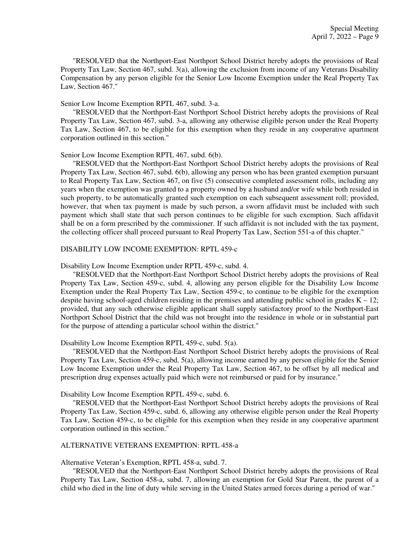"RESOLVED that the Northport-East Northport School District hereby adopts the provisions of Real Property Tax Law, Section 467, subd. 3(a), allowing the exclusion from income of any Veterans Disability Compensation by any person eligible for the Senior Low Income Exemption under the Real Property Tax Law, Section 467."

#### Senior Low Income Exemption RPTL 467, subd. 3-a.

 "RESOLVED that the Northport-East Northport School District hereby adopts the provisions of Real Property Tax Law, Section 467, subd. 3-a, allowing any otherwise eligible person under the Real Property Tax Law, Section 467, to be eligible for this exemption when they reside in any cooperative apartment corporation outlined in this section."

#### Senior Low Income Exemption RPTL 467, subd. 6(b).

 "RESOLVED that the Northport-East Northport School District hereby adopts the provisions of Real Property Tax Law, Section 467, subd. 6(b), allowing any person who has been granted exemption pursuant to Real Property Tax Law, Section 467, on five (5) consecutive completed assessment rolls, including any years when the exemption was granted to a property owned by a husband and/or wife while both resided in such property, to be automatically granted such exemption on each subsequent assessment roll; provided, however, that when tax payment is made by such person, a sworn affidavit must be included with such payment which shall state that such person continues to be eligible for such exemption. Such affidavit shall be on a form prescribed by the commissioner. If such affidavit is not included with the tax payment, the collecting officer shall proceed pursuant to Real Property Tax Law, Section 551-a of this chapter."

#### DISABILITY LOW INCOME EXEMPTION: RPTL 459-c

#### Disability Low Income Exemption under RPTL 459-c, subd. 4.

 "RESOLVED that the Northport-East Northport School District hereby adopts the provisions of Real Property Tax Law, Section 459-c, subd. 4, allowing any person eligible for the Disability Low Income Exemption under the Real Property Tax Law, Section 459-c, to continue to be eligible for the exemption despite having school-aged children residing in the premises and attending public school in grades  $K - 12$ ; provided, that any such otherwise eligible applicant shall supply satisfactory proof to the Northport-East Northport School District that the child was not brought into the residence in whole or in substantial part for the purpose of attending a particular school within the district."

#### Disability Low Income Exemption RPTL 459-c, subd. 5(a).

 "RESOLVED that the Northport-East Northport School District hereby adopts the provisions of Real Property Tax Law, Section 459-c, subd. 5(a), allowing income earned by any person eligible for the Senior Low Income Exemption under the Real Property Tax Law, Section 467, to be offset by all medical and prescription drug expenses actually paid which were not reimbursed or paid for by insurance."

Disability Low Income Exemption RPTL 459-c, subd. 6.

 "RESOLVED that the Northport-East Northport School District hereby adopts the provisions of Real Property Tax Law, Section 459-c, subd. 6, allowing any otherwise eligible person under the Real Property Tax Law, Section 459-c, to be eligible for this exemption when they reside in any cooperative apartment corporation outlined in this section."

#### ALTERNATIVE VETERANS EXEMPTION: RPTL 458-a

Alternative Veteran's Exemption, RPTL 458-a, subd. 7.

 "RESOLVED that the Northport-East Northport School District hereby adopts the provisions of Real Property Tax Law, Section 458-a, subd. 7, allowing an exemption for Gold Star Parent, the parent of a child who died in the line of duty while serving in the United States armed forces during a period of war."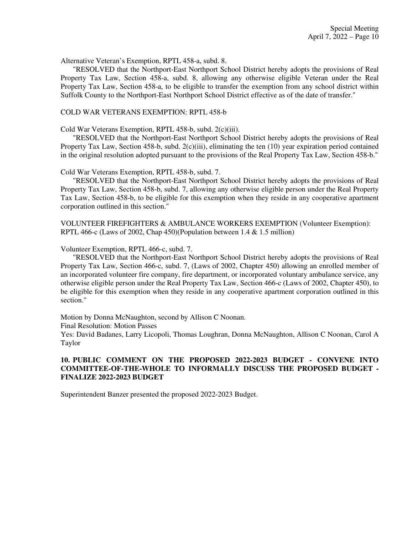Alternative Veteran's Exemption, RPTL 458-a, subd. 8.

 "RESOLVED that the Northport-East Northport School District hereby adopts the provisions of Real Property Tax Law, Section 458-a, subd. 8, allowing any otherwise eligible Veteran under the Real Property Tax Law, Section 458-a, to be eligible to transfer the exemption from any school district within Suffolk County to the Northport-East Northport School District effective as of the date of transfer."

#### COLD WAR VETERANS EXEMPTION: RPTL 458-b

Cold War Veterans Exemption, RPTL 458-b, subd. 2(c)(iii).

 "RESOLVED that the Northport-East Northport School District hereby adopts the provisions of Real Property Tax Law, Section 458-b, subd.  $2(c)(iii)$ , eliminating the ten (10) year expiration period contained in the original resolution adopted pursuant to the provisions of the Real Property Tax Law, Section 458-b."

Cold War Veterans Exemption, RPTL 458-b, subd. 7.

 "RESOLVED that the Northport-East Northport School District hereby adopts the provisions of Real Property Tax Law, Section 458-b, subd. 7, allowing any otherwise eligible person under the Real Property Tax Law, Section 458-b, to be eligible for this exemption when they reside in any cooperative apartment corporation outlined in this section."

VOLUNTEER FIREFIGHTERS & AMBULANCE WORKERS EXEMPTION (Volunteer Exemption): RPTL 466-c (Laws of 2002, Chap 450)(Population between 1.4 & 1.5 million)

Volunteer Exemption, RPTL 466-c, subd. 7.

 "RESOLVED that the Northport-East Northport School District hereby adopts the provisions of Real Property Tax Law, Section 466-c, subd. 7, (Laws of 2002, Chapter 450) allowing an enrolled member of an incorporated volunteer fire company, fire department, or incorporated voluntary ambulance service, any otherwise eligible person under the Real Property Tax Law, Section 466-c (Laws of 2002, Chapter 450), to be eligible for this exemption when they reside in any cooperative apartment corporation outlined in this section."

Motion by Donna McNaughton, second by Allison C Noonan.

Final Resolution: Motion Passes

Yes: David Badanes, Larry Licopoli, Thomas Loughran, Donna McNaughton, Allison C Noonan, Carol A Taylor

#### **10. PUBLIC COMMENT ON THE PROPOSED 2022-2023 BUDGET - CONVENE INTO COMMITTEE-OF-THE-WHOLE TO INFORMALLY DISCUSS THE PROPOSED BUDGET - FINALIZE 2022-2023 BUDGET**

Superintendent Banzer presented the proposed 2022-2023 Budget.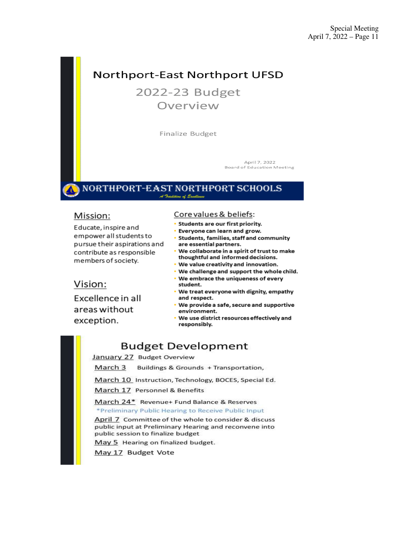# Northport-East Northport UFSD

2022-23 Budget Overview

Finalize Budget

April 7, 2022 **Board of Education Meeting** 

#### NORTHPORT-EAST NORTHPORT SCHOOLS A Tradition of Eredlem

## Mission:

Educate, inspire and empower all students to pursue their aspirations and contribute as responsible members of society.

#### Core values & beliefs:

- Students are our first priority.
- Everyone can learn and grow.
- · Students, families, staff and community are essential partners.
- We collaborate in a spirit of trust to make thoughtful and informed decisions.
- . We value creativity and innovation.
- . We challenge and support the whole child.
- We embrace the uniqueness of every student.
- . We treat everyone with dignity, empathy and respect.
- We provide a safe, secure and supportive environment.
- We use district resources effectively and responsibly.

# **Budget Development**

January 27 Budget Overview

March 3 Buildings & Grounds + Transportation,

March 10 Instruction, Technology, BOCES, Special Ed.

March 17 Personnel & Benefits

March 24\* Revenue+ Fund Balance & Reserves \*Preliminary Public Hearing to Receive Public Input

April 7 Committee of the whole to consider & discuss public input at Preliminary Hearing and reconvene into public session to finalize budget

May 5 Hearing on finalized budget.

May 17 Budget Vote

# Vision:

Excellence in all areas without exception.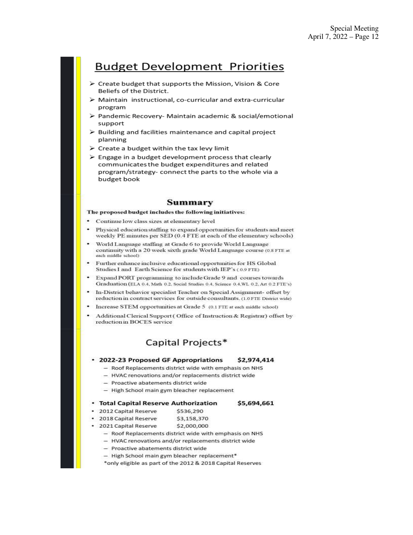# **Budget Development Priorities**

- > Create budget that supports the Mission, Vision & Core Beliefs of the District.
- > Maintain instructional, co-curricular and extra-curricular program
- > Pandemic Recovery- Maintain academic & social/emotional support
- $\triangleright$  Building and facilities maintenance and capital project planning
- $\triangleright$  Create a budget within the tax levy limit
- $\triangleright$  Engage in a budget development process that clearly communicates the budget expenditures and related program/strategy- connect the parts to the whole via a budget book

#### Summary

The proposed budget includes the following initiatives:

- Continue low class sizes at elementary level
- Physical education staffing to expand opportunities for students and meet weekly PE minutes per SED (0.4 FTE at each of the elementary schools)
- World Language staffing at Grade 6 to provide World Language continuity with a 20 week sixth grade World Language course (0.8 FTE at each middle school)
- Further enhance inclusive educational opportunities for HS Global Studies I and Earth Science for students with IEP's (0.9 FTE)
- Expand PORT programming to include Grade 9 and courses towards Graduation (ELA 0.4, Math 0.2, Social Studies 0.4, Science 0.4, WL 0.2, Art 0.2 FTE's)
- In-District behavior specialist Teacher on Special Assignment- offset by reduction in contract services for outside consultants. (1.0 FTE District wide)
- Increase STEM opportunities at Grade 5 (0.1 FTE at each middle school)
- Additional Clerical Support (Office of Instruction & Registrar) offset by reduction in BOCES service

## Capital Projects\*

#### • 2022-23 Proposed GF Appropriations \$2,974,414

- Roof Replacements district wide with emphasis on NHS
- HVAC renovations and/or replacements district wide
- Proactive abatements district wide
- High School main gym bleacher replacement
- Total Capital Reserve Authorization \$5,694,661
- · 2012 Capital Reserve \$536,290
- · 2018 Capital Reserve \$3,158,370
- 2021 Capital Reserve \$2,000,000
	- Roof Replacements district wide with emphasis on NHS
	- HVAC renovations and/or replacements district wide
	- Proactive abatements district wide
	- High School main gym bleacher replacement\*
	- \*only eligible as part of the 2012 & 2018 Capital Reserves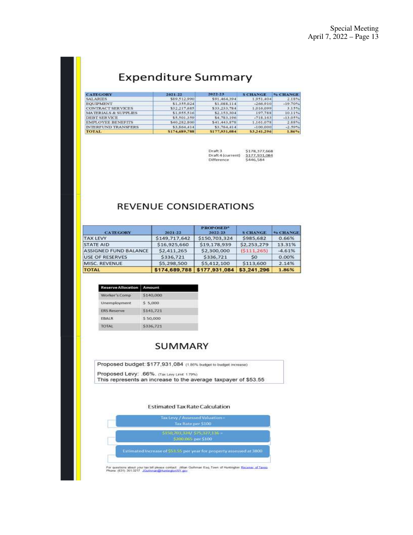# **Expenditure Summary**

| <b>CATEGORY</b>                 | 2021-22       | 2022-23       | <b>S CHANGE</b> | % CHANGE  |
|---------------------------------|---------------|---------------|-----------------|-----------|
| <b>SALARIES</b>                 | \$89,512,990  | \$91,464,394  | 1,951,404       | 2.18%     |
| <b>EOUIPMENT</b>                | \$1.355.024   | \$1,088,114   | $-266.910$      | $-19.70%$ |
| <b>CONTRACT SERVICES</b>        | \$32,217,685  | \$33,233,784  | 1,016,099       | 3.15%     |
| <b>MATERIALS &amp; SUPPLIES</b> | \$1,955,516   | \$2:153.304   | 197.788         | 10.11%    |
| <b>DEBT SERVICE</b>             | \$5,501,350   | \$4,783,196   | $-718.163$      | $-13.05%$ |
| <b>EMPLOYEE BENEFITS</b>        | \$40,282,800  | \$41,443,878  | 1,161,078       | 2.88%     |
| INTERFLIND TRANSFERS            | \$3,864,414   | \$3,764,414   | $-100,000$      | $-1.59%$  |
| <b>TOTAL</b>                    | \$174,689,788 | \$177,931,084 | \$3,241,296     | 1.86%     |

| Draft 3           | 5178, 377, 568 |
|-------------------|----------------|
| Draft 4 (current) | \$177,931,084  |
| Difference        | \$446,584      |

# **REVENUE CONSIDERATIONS**

| <b>CATEGORY</b>              | 2021-22       | <b>PROPOSED*</b><br>2022-23 | <b>S CHANGE</b> | <b>% CHANGE</b> |
|------------------------------|---------------|-----------------------------|-----------------|-----------------|
| <b>TAX LEVY</b>              | \$149,717,642 | \$150,703,324               | \$985,682       | 0.66%           |
| <b>STATE AID</b>             | \$16,925,660  | \$19,178,939                | \$2,253,279     | 13.31%          |
| <b>ASSIGNED FUND BALANCE</b> | \$2,411,265   | \$2,300,000                 | (S111, 265)     | $-4.61%$        |
| <b>USE OF RESERVES</b>       | \$336,721     | \$336.721                   | S <sub>0</sub>  | 0.00%           |
| MISC, REVENUE                | \$5,298,500   | \$5,412,100                 | \$113,600       | 2.14%           |
| <b>TOTAL</b>                 | \$174,689,788 | \$177,931,084               | \$3,241,296     | 1.86%           |

| <b>Reserve Allocation</b> Amount             |           |
|----------------------------------------------|-----------|
| Worker's Comp<br>and the control of the con- | \$140,000 |
| Unemployment                                 | 5,000     |
| <b>ERS Reserve</b>                           | \$141,721 |
| <b>EBALR</b>                                 | 550,000   |
| <b>TOTAL</b>                                 | \$336,721 |

# **SUMMARY**

| Proposed budget: \$177,931,084 (1.86% budget to budget increase) |  |
|------------------------------------------------------------------|--|
| Proposed Levy: .66%. (Tax Levy Limit 179%)                       |  |

This represents an increase to the average taxpayer of \$53.55

#### **Estimated Tax Rate Calculation**

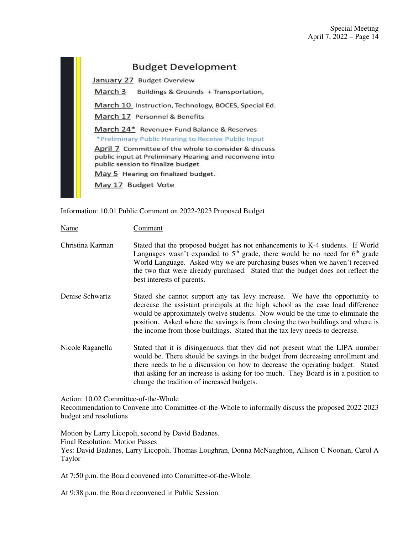# **Budget Development**

January 27 Budget Overview

March 3 Buildings & Grounds + Transportation,

March 10 Instruction, Technology, BOCES, Special Ed.

March 17 Personnel & Benefits

March 24\* Revenue+ Fund Balance & Reserves \*Preliminary Public Hearing to Receive Public Input

April 7 Committee of the whole to consider & discuss public input at Preliminary Hearing and reconvene into public session to finalize budget

May 5 Hearing on finalized budget.

May 17 Budget Vote

Information: 10.01 Public Comment on 2022-2023 Proposed Budget

Name Comment

- Christina Karman Stated that the proposed budget has not enhancements to K-4 students. If World Languages wasn't expanded to  $5<sup>th</sup>$  grade, there would be no need for  $6<sup>th</sup>$  grade World Language. Asked why we are purchasing buses when we haven't received the two that were already purchased. Stated that the budget does not reflect the best interests of parents.
- Denise Schwartz Stated she cannot support any tax levy increase. We have the opportunity to decrease the assistant principals at the high school as the case load difference would be approximately twelve students. Now would be the time to eliminate the position. Asked where the savings is from closing the two buildings and where is the income from those buildings. Stated that the tax levy needs to decrease.
- Nicole Raganella Stated that it is disingenuous that they did not present what the LIPA number would be. There should be savings in the budget from decreasing enrollment and there needs to be a discussion on how to decrease the operating budget. Stated that asking for an increase is asking for too much. They Board is in a position to change the tradition of increased budgets.

Action: 10.02 Committee-of-the-Whole

Recommendation to Convene into Committee-of-the-Whole to informally discuss the proposed 2022-2023 budget and resolutions

Motion by Larry Licopoli, second by David Badanes. Final Resolution: Motion Passes Yes: David Badanes, Larry Licopoli, Thomas Loughran, Donna McNaughton, Allison C Noonan, Carol A Taylor

At 7:50 p.m. the Board convened into Committee-of-the-Whole.

At 9:38 p.m. the Board reconvened in Public Session.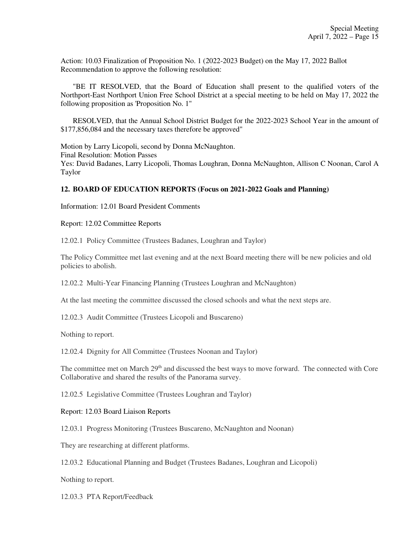Action: 10.03 Finalization of Proposition No. 1 (2022-2023 Budget) on the May 17, 2022 Ballot Recommendation to approve the following resolution:

 "BE IT RESOLVED, that the Board of Education shall present to the qualified voters of the Northport-East Northport Union Free School District at a special meeting to be held on May 17, 2022 the following proposition as 'Proposition No. 1"

 RESOLVED, that the Annual School District Budget for the 2022-2023 School Year in the amount of \$177,856,084 and the necessary taxes therefore be approved"

Motion by Larry Licopoli, second by Donna McNaughton. Final Resolution: Motion Passes Yes: David Badanes, Larry Licopoli, Thomas Loughran, Donna McNaughton, Allison C Noonan, Carol A Taylor

#### **12. BOARD OF EDUCATION REPORTS (Focus on 2021-2022 Goals and Planning)**

Information: 12.01 Board President Comments

Report: 12.02 Committee Reports

12.02.1 Policy Committee (Trustees Badanes, Loughran and Taylor)

The Policy Committee met last evening and at the next Board meeting there will be new policies and old policies to abolish.

12.02.2 Multi-Year Financing Planning (Trustees Loughran and McNaughton)

At the last meeting the committee discussed the closed schools and what the next steps are.

12.02.3 Audit Committee (Trustees Licopoli and Buscareno)

Nothing to report.

12.02.4 Dignity for All Committee (Trustees Noonan and Taylor)

The committee met on March 29<sup>th</sup> and discussed the best ways to move forward. The connected with Core Collaborative and shared the results of the Panorama survey.

12.02.5 Legislative Committee (Trustees Loughran and Taylor)

#### Report: 12.03 Board Liaison Reports

12.03.1 Progress Monitoring (Trustees Buscareno, McNaughton and Noonan)

They are researching at different platforms.

12.03.2 Educational Planning and Budget (Trustees Badanes, Loughran and Licopoli)

Nothing to report.

12.03.3 PTA Report/Feedback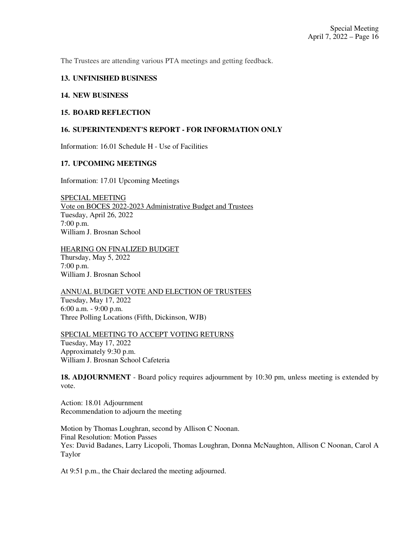The Trustees are attending various PTA meetings and getting feedback.

#### **13. UNFINISHED BUSINESS**

#### **14. NEW BUSINESS**

#### **15. BOARD REFLECTION**

#### **16. SUPERINTENDENT'S REPORT - FOR INFORMATION ONLY**

Information: 16.01 Schedule H - Use of Facilities

#### **17. UPCOMING MEETINGS**

Information: 17.01 Upcoming Meetings

SPECIAL MEETING Vote on BOCES 2022-2023 Administrative Budget and Trustees Tuesday, April 26, 2022 7:00 p.m. William J. Brosnan School

HEARING ON FINALIZED BUDGET Thursday, May 5, 2022 7:00 p.m. William J. Brosnan School

ANNUAL BUDGET VOTE AND ELECTION OF TRUSTEES Tuesday, May 17, 2022 6:00 a.m. - 9:00 p.m. Three Polling Locations (Fifth, Dickinson, WJB)

SPECIAL MEETING TO ACCEPT VOTING RETURNS Tuesday, May 17, 2022 Approximately 9:30 p.m. William J. Brosnan School Cafeteria

**18. ADJOURNMENT** - Board policy requires adjournment by 10:30 pm, unless meeting is extended by vote.

Action: 18.01 Adjournment Recommendation to adjourn the meeting

Motion by Thomas Loughran, second by Allison C Noonan. Final Resolution: Motion Passes Yes: David Badanes, Larry Licopoli, Thomas Loughran, Donna McNaughton, Allison C Noonan, Carol A Taylor

At 9:51 p.m., the Chair declared the meeting adjourned.